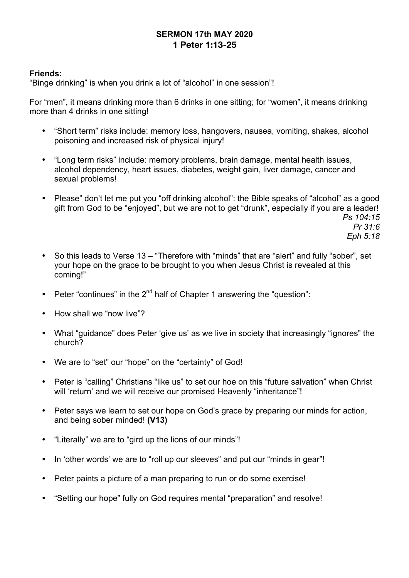# **SERMON 17th MAY 2020 1 Peter 1:13-25**

## **Friends:**

"Binge drinking" is when you drink a lot of "alcohol" in one session"!

For "men", it means drinking more than 6 drinks in one sitting; for "women", it means drinking more than 4 drinks in one sitting!

- "Short term" risks include: memory loss, hangovers, nausea, vomiting, shakes, alcohol poisoning and increased risk of physical injury!
- "Long term risks" include: memory problems, brain damage, mental health issues, alcohol dependency, heart issues, diabetes, weight gain, liver damage, cancer and sexual problems!
- Please" don't let me put you "off drinking alcohol": the Bible speaks of "alcohol" as a good gift from God to be "enjoyed", but we are not to get "drunk", especially if you are a leader! *Ps 104:15*

*Pr 31:6 Eph 5:18*

- So this leads to Verse 13 "Therefore with "minds" that are "alert" and fully "sober", set your hope on the grace to be brought to you when Jesus Christ is revealed at this coming!"
- Peter "continues" in the  $2^{nd}$  half of Chapter 1 answering the "question":
- How shall we "now live"?
- What "guidance" does Peter 'give us' as we live in society that increasingly "ignores" the church?
- We are to "set" our "hope" on the "certainty" of God!
- Peter is "calling" Christians "like us" to set our hoe on this "future salvation" when Christ will 'return' and we will receive our promised Heavenly "inheritance"!
- Peter says we learn to set our hope on God's grace by preparing our minds for action, and being sober minded! **(V13)**
- "Literally" we are to "gird up the lions of our minds"!
- In 'other words' we are to "roll up our sleeves" and put our "minds in gear"!
- Peter paints a picture of a man preparing to run or do some exercise!
- "Setting our hope" fully on God requires mental "preparation" and resolve!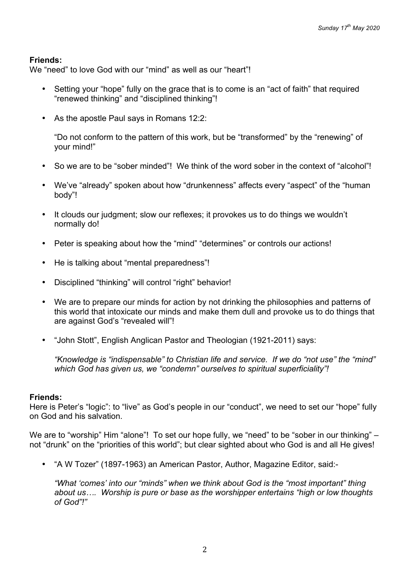## **Friends:**

We "need" to love God with our "mind" as well as our "heart"!

- Setting your "hope" fully on the grace that is to come is an "act of faith" that required "renewed thinking" and "disciplined thinking"!
- As the apostle Paul says in Romans 12:2:

"Do not conform to the pattern of this work, but be "transformed" by the "renewing" of your mind!"

- So we are to be "sober minded"! We think of the word sober in the context of "alcohol"!
- We've "already" spoken about how "drunkenness" affects every "aspect" of the "human body"!
- It clouds our judgment; slow our reflexes; it provokes us to do things we wouldn't normally do!
- Peter is speaking about how the "mind" "determines" or controls our actions!
- He is talking about "mental preparedness"!
- Disciplined "thinking" will control "right" behavior!
- We are to prepare our minds for action by not drinking the philosophies and patterns of this world that intoxicate our minds and make them dull and provoke us to do things that are against God's "revealed will"!
- "John Stott", English Anglican Pastor and Theologian (1921-2011) says:

*"Knowledge is "indispensable" to Christian life and service. If we do "not use" the "mind" which God has given us, we "condemn" ourselves to spiritual superficiality"!*

## **Friends:**

Here is Peter's "logic": to "live" as God's people in our "conduct", we need to set our "hope" fully on God and his salvation.

We are to "worship" Him "alone"! To set our hope fully, we "need" to be "sober in our thinking" – not "drunk" on the "priorities of this world"; but clear sighted about who God is and all He gives!

• "A W Tozer" (1897-1963) an American Pastor, Author, Magazine Editor, said:-

*"What 'comes' into our "minds" when we think about God is the "most important" thing about us…. Worship is pure or base as the worshipper entertains "high or low thoughts of God"!"*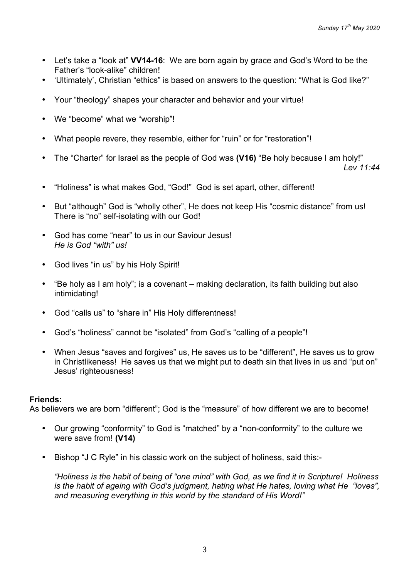- Let's take a "look at" **VV14-16**: We are born again by grace and God's Word to be the Father's "look-alike" children!
- 'Ultimately', Christian "ethics" is based on answers to the question: "What is God like?"
- Your "theology" shapes your character and behavior and your virtue!
- We "become" what we "worship"!
- What people revere, they resemble, either for "ruin" or for "restoration"!
- The "Charter" for Israel as the people of God was **(V16)** "Be holy because I am holy!"

*Lev 11:44*

- "Holiness" is what makes God, "God!" God is set apart, other, different!
- But "although" God is "wholly other", He does not keep His "cosmic distance" from us! There is "no" self-isolating with our God!
- God has come "near" to us in our Saviour Jesus! *He is God "with" us!*
- God lives "in us" by his Holy Spirit!
- "Be holy as I am holy"; is a covenant making declaration, its faith building but also intimidating!
- God "calls us" to "share in" His Holy differentness!
- God's "holiness" cannot be "isolated" from God's "calling of a people"!
- When Jesus "saves and forgives" us, He saves us to be "different", He saves us to grow in Christlikeness! He saves us that we might put to death sin that lives in us and "put on" Jesus' righteousness!

## **Friends:**

As believers we are born "different"; God is the "measure" of how different we are to become!

- Our growing "conformity" to God is "matched" by a "non-conformity" to the culture we were save from! **(V14)**
- Bishop "J C Ryle" in his classic work on the subject of holiness, said this:-

*"Holiness is the habit of being of "one mind" with God, as we find it in Scripture! Holiness is the habit of ageing with God's judgment, hating what He hates, loving what He "loves", and measuring everything in this world by the standard of His Word!"*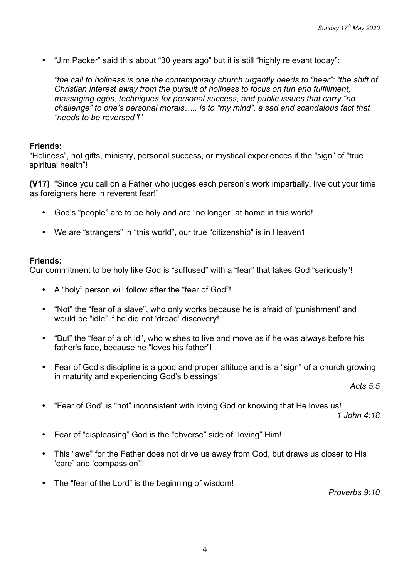• "Jim Packer" said this about "30 years ago" but it is still "highly relevant today":

*"the call to holiness is one the contemporary church urgently needs to "hear": "the shift of Christian interest away from the pursuit of holiness to focus on fun and fulfillment, massaging egos, techniques for personal success, and public issues that carry "no challenge" to one's personal morals….. is to "my mind", a sad and scandalous fact that "needs to be reversed"!"*

## **Friends:**

"Holiness", not gifts, ministry, personal success, or mystical experiences if the "sign" of "true spiritual health"!

**(V17)** "Since you call on a Father who judges each person's work impartially, live out your time as foreigners here in reverent fear!"

- God's "people" are to be holy and are "no longer" at home in this world!
- We are "strangers" in "this world", our true "citizenship" is in Heaven1

## **Friends:**

Our commitment to be holy like God is "suffused" with a "fear" that takes God "seriously"!

- A "holy" person will follow after the "fear of God"!
- "Not" the "fear of a slave", who only works because he is afraid of 'punishment' and would be "idle" if he did not 'dread' discovery!
- "But" the "fear of a child", who wishes to live and move as if he was always before his father's face, because he "loves his father"!
- Fear of God's discipline is a good and proper attitude and is a "sign" of a church growing in maturity and experiencing God's blessings!

*Acts 5:5*

• "Fear of God" is "not" inconsistent with loving God or knowing that He loves us!

*1 John 4:18*

- Fear of "displeasing" God is the "obverse" side of "loving" Him!
- This "awe" for the Father does not drive us away from God, but draws us closer to His 'care' and 'compassion'!
- The "fear of the Lord" is the beginning of wisdom!

*Proverbs 9:10*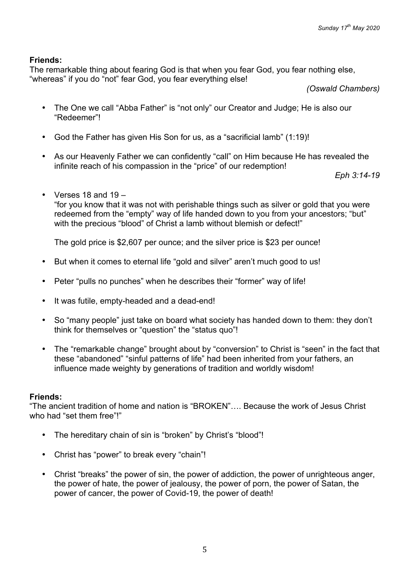## **Friends:**

The remarkable thing about fearing God is that when you fear God, you fear nothing else, "whereas" if you do "not" fear God, you fear everything else!

*(Oswald Chambers)*

- The One we call "Abba Father" is "not only" our Creator and Judge; He is also our "Redeemer"!
- God the Father has given His Son for us, as a "sacrificial lamb" (1:19)!
- As our Heavenly Father we can confidently "call" on Him because He has revealed the infinite reach of his compassion in the "price" of our redemption!

*Eph 3:14-19*

• Verses 18 and 19 – "for you know that it was not with perishable things such as silver or gold that you were redeemed from the "empty" way of life handed down to you from your ancestors; "but" with the precious "blood" of Christ a lamb without blemish or defect!"

The gold price is \$2,607 per ounce; and the silver price is \$23 per ounce!

- But when it comes to eternal life "gold and silver" aren't much good to us!
- Peter "pulls no punches" when he describes their "former" way of life!
- It was futile, empty-headed and a dead-end!
- So "many people" just take on board what society has handed down to them: they don't think for themselves or "question" the "status quo"!
- The "remarkable change" brought about by "conversion" to Christ is "seen" in the fact that these "abandoned" "sinful patterns of life" had been inherited from your fathers, an influence made weighty by generations of tradition and worldly wisdom!

## **Friends:**

"The ancient tradition of home and nation is "BROKEN"…. Because the work of Jesus Christ who had "set them free"!"

- The hereditary chain of sin is "broken" by Christ's "blood"!
- Christ has "power" to break every "chain"!
- Christ "breaks" the power of sin, the power of addiction, the power of unrighteous anger, the power of hate, the power of jealousy, the power of porn, the power of Satan, the power of cancer, the power of Covid-19, the power of death!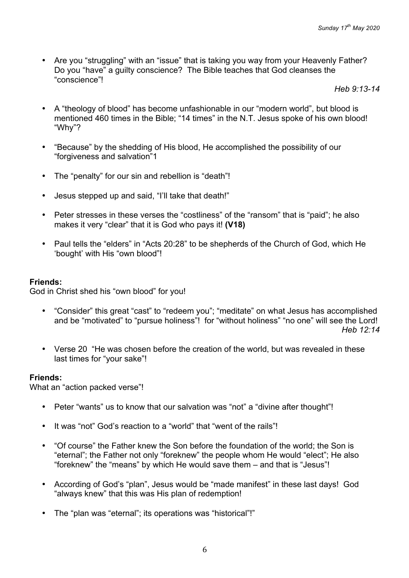• Are you "struggling" with an "issue" that is taking you way from your Heavenly Father? Do you "have" a guilty conscience? The Bible teaches that God cleanses the "conscience"!

*Heb 9:13-14*

- A "theology of blood" has become unfashionable in our "modern world", but blood is mentioned 460 times in the Bible; "14 times" in the N.T. Jesus spoke of his own blood! "Why"?
- "Because" by the shedding of His blood, He accomplished the possibility of our "forgiveness and salvation"1
- The "penalty" for our sin and rebellion is "death"!
- Jesus stepped up and said, "I'll take that death!"
- Peter stresses in these verses the "costliness" of the "ransom" that is "paid"; he also makes it very "clear" that it is God who pays it! **(V18)**
- Paul tells the "elders" in "Acts 20:28" to be shepherds of the Church of God, which He 'bought' with His "own blood"!

## **Friends:**

God in Christ shed his "own blood" for you!

- "Consider" this great "cast" to "redeem you"; "meditate" on what Jesus has accomplished and be "motivated" to "pursue holiness"! for "without holiness" "no one" will see the Lord! *Heb 12:14*
- Verse 20 "He was chosen before the creation of the world, but was revealed in these last times for "your sake"!

## **Friends:**

What an "action packed verse"!

- Peter "wants" us to know that our salvation was "not" a "divine after thought"!
- It was "not" God's reaction to a "world" that "went of the rails"!
- "Of course" the Father knew the Son before the foundation of the world; the Son is "eternal"; the Father not only "foreknew" the people whom He would "elect"; He also "foreknew" the "means" by which He would save them – and that is "Jesus"!
- According of God's "plan", Jesus would be "made manifest" in these last days! God "always knew" that this was His plan of redemption!
- The "plan was "eternal"; its operations was "historical"!"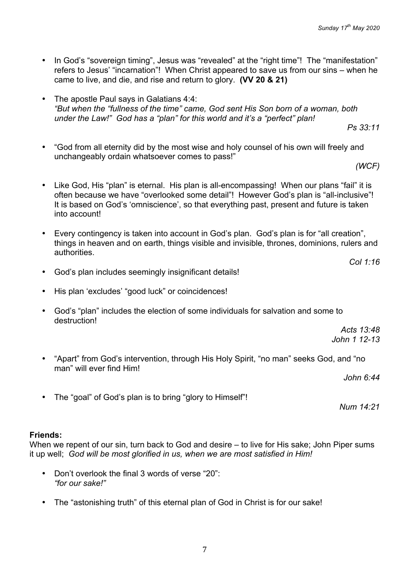- In God's "sovereign timing", Jesus was "revealed" at the "right time"! The "manifestation" refers to Jesus' "incarnation"! When Christ appeared to save us from our sins – when he came to live, and die, and rise and return to glory. **(VV 20 & 21)**
- The apostle Paul says in Galatians 4:4: *"But when the "fullness of the time" came, God sent His Son born of a woman, both under the Law!" God has a "plan" for this world and it's a "perfect" plan!*

*Ps 33:11*

• "God from all eternity did by the most wise and holy counsel of his own will freely and unchangeably ordain whatsoever comes to pass!"

*(WCF)*

*Col 1:16*

- Like God, His "plan" is eternal. His plan is all-encompassing! When our plans "fail" it is often because we have "overlooked some detail"! However God's plan is "all-inclusive"! It is based on God's 'omniscience', so that everything past, present and future is taken into account!
- Every contingency is taken into account in God's plan. God's plan is for "all creation", things in heaven and on earth, things visible and invisible, thrones, dominions, rulers and authorities.
- God's plan includes seemingly insignificant details!
- His plan 'excludes' "good luck" or coincidences!
- God's "plan" includes the election of some individuals for salvation and some to destruction!

*Acts 13:48 John 1 12-13*

• "Apart" from God's intervention, through His Holy Spirit, "no man" seeks God, and "no man" will ever find Him!

*John 6:44*

• The "goal" of God's plan is to bring "glory to Himself"!

*Num 14:21*

#### **Friends:**

When we repent of our sin, turn back to God and desire – to live for His sake; John Piper sums it up well; *God will be most glorified in us, when we are most satisfied in Him!*

- Don't overlook the final 3 words of verse "20": *"for our sake!"*
- The "astonishing truth" of this eternal plan of God in Christ is for our sake!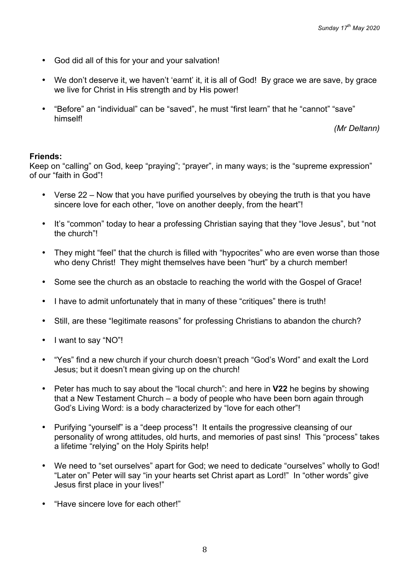- God did all of this for your and your salvation!
- We don't deserve it, we haven't 'earnt' it, it is all of God! By grace we are save, by grace we live for Christ in His strength and by His power!
- "Before" an "individual" can be "saved", he must "first learn" that he "cannot" "save" himself!

*(Mr Deltann)*

#### **Friends:**

Keep on "calling" on God, keep "praying"; "prayer", in many ways; is the "supreme expression" of our "faith in God"!

- Verse 22 Now that you have purified yourselves by obeying the truth is that you have sincere love for each other, "love on another deeply, from the heart"!
- It's "common" today to hear a professing Christian saying that they "love Jesus", but "not the church"!
- They might "feel" that the church is filled with "hypocrites" who are even worse than those who deny Christ! They might themselves have been "hurt" by a church member!
- Some see the church as an obstacle to reaching the world with the Gospel of Grace!
- I have to admit unfortunately that in many of these "critiques" there is truth!
- Still, are these "legitimate reasons" for professing Christians to abandon the church?
- I want to say "NO"!
- "Yes" find a new church if your church doesn't preach "God's Word" and exalt the Lord Jesus; but it doesn't mean giving up on the church!
- Peter has much to say about the "local church": and here in **V22** he begins by showing that a New Testament Church – a body of people who have been born again through God's Living Word: is a body characterized by "love for each other"!
- Purifying "yourself" is a "deep process"! It entails the progressive cleansing of our personality of wrong attitudes, old hurts, and memories of past sins! This "process" takes a lifetime "relying" on the Holy Spirits help!
- We need to "set ourselves" apart for God; we need to dedicate "ourselves" wholly to God! "Later on" Peter will say "in your hearts set Christ apart as Lord!" In "other words" give Jesus first place in your lives!"
- "Have sincere love for each other!"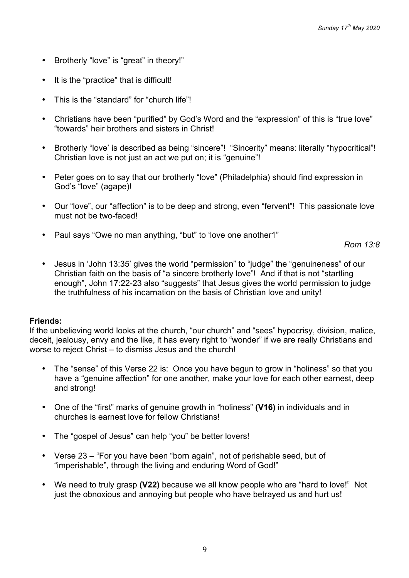- Brotherly "love" is "great" in theory!"
- It is the "practice" that is difficult!
- This is the "standard" for "church life"!
- Christians have been "purified" by God's Word and the "expression" of this is "true love" "towards" heir brothers and sisters in Christ!
- Brotherly "love' is described as being "sincere"! "Sincerity" means: literally "hypocritical"! Christian love is not just an act we put on; it is "genuine"!
- Peter goes on to say that our brotherly "love" (Philadelphia) should find expression in God's "love" (agape)!
- Our "love", our "affection" is to be deep and strong, even "fervent"! This passionate love must not be two-faced!
- Paul says "Owe no man anything, "but" to 'love one another1"

*Rom 13:8*

• Jesus in 'John 13:35' gives the world "permission" to "judge" the "genuineness" of our Christian faith on the basis of "a sincere brotherly love"! And if that is not "startling enough", John 17:22-23 also "suggests" that Jesus gives the world permission to judge the truthfulness of his incarnation on the basis of Christian love and unity!

#### **Friends:**

If the unbelieving world looks at the church, "our church" and "sees" hypocrisy, division, malice, deceit, jealousy, envy and the like, it has every right to "wonder" if we are really Christians and worse to reject Christ – to dismiss Jesus and the church!

- The "sense" of this Verse 22 is: Once you have begun to grow in "holiness" so that you have a "genuine affection" for one another, make your love for each other earnest, deep and strong!
- One of the "first" marks of genuine growth in "holiness" **(V16)** in individuals and in churches is earnest love for fellow Christians!
- The "gospel of Jesus" can help "you" be better lovers!
- Verse 23 "For you have been "born again", not of perishable seed, but of "imperishable", through the living and enduring Word of God!"
- We need to truly grasp **(V22)** because we all know people who are "hard to love!" Not just the obnoxious and annoying but people who have betrayed us and hurt us!